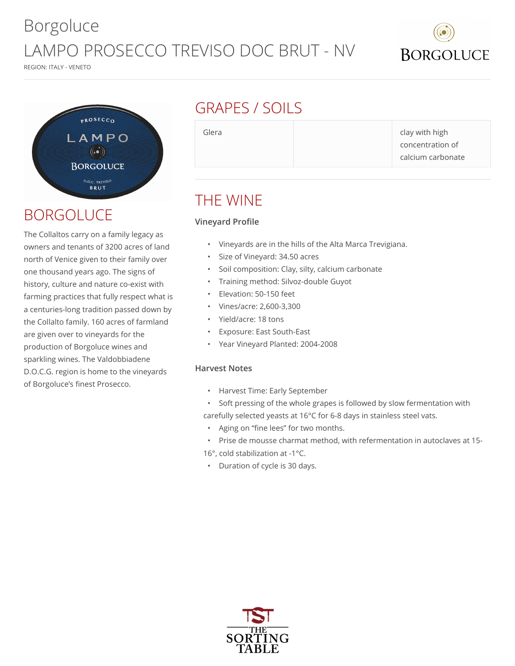# Borgoluce LAMPO PROSECCO TREVISO DOC BRUT - NV





### BORGOLUCE

The Collaltos carry on a family legacy as owners and tenants of 3200 acres of land north of Venice given to their family over one thousand years ago. The signs of history, culture and nature co-exist with farming practices that fully respect what is a centuries-long tradition passed down by the Collalto family. 160 acres of farmland are given over to vineyards for the production of Borgoluce wines and sparkling wines. The Valdobbiadene D.O.C.G. region is home to the vineyards of Borgoluce's finest Prosecco.

### GRAPES / SOILS

Glera **clay with high** clay with high concentration of calcium carbonate

### THE WINE

### **Vineyard Profile**

- Vineyards are in the hills of the Alta Marca Trevigiana.
- Size of Vineyard: 34.50 acres
- Soil composition: Clay, silty, calcium carbonate
- Training method: Silvoz-double Guyot
- Elevation: 50-150 feet
- Vines/acre: 2,600-3,300
- Yield/acre: 18 tons
- Exposure: East South-East
- Year Vineyard Planted: 2004-2008

#### **Harvest Notes**

- Harvest Time: Early September
- Soft pressing of the whole grapes is followed by slow fermentation with carefully selected yeasts at 16°C for 6-8 days in stainless steel vats.
- Aging on "fine lees" for two months.
- Prise de mousse charmat method, with refermentation in autoclaves at 15-
- 16°, cold stabilization at -1°C.
- Duration of cycle is 30 days.



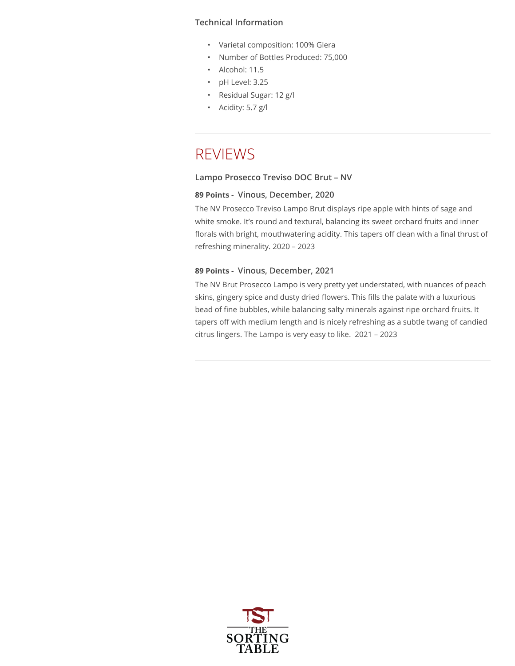#### **Technical Information**

- Varietal composition: 100% Glera
- Number of Bottles Produced: 75,000
- Alcohol: 11.5
- pH Level: 3.25
- Residual Sugar: 12 g/l
- Acidity: 5.7 g/l

### REVIEWS

#### **Lampo Prosecco Treviso DOC Brut – NV**

#### **89 Points - Vinous, December, 2020**

The NV Prosecco Treviso Lampo Brut displays ripe apple with hints of sage and white smoke. It's round and textural, balancing its sweet orchard fruits and inner florals with bright, mouthwatering acidity. This tapers off clean with a final thrust of refreshing minerality. 2020 – 2023

#### **89 Points - Vinous, December, 2021**

The NV Brut Prosecco Lampo is very pretty yet understated, with nuances of peach skins, gingery spice and dusty dried flowers. This fills the palate with a luxurious bead of fine bubbles, while balancing salty minerals against ripe orchard fruits. It tapers off with medium length and is nicely refreshing as a subtle twang of candied citrus lingers. The Lampo is very easy to like. 2021 – 2023